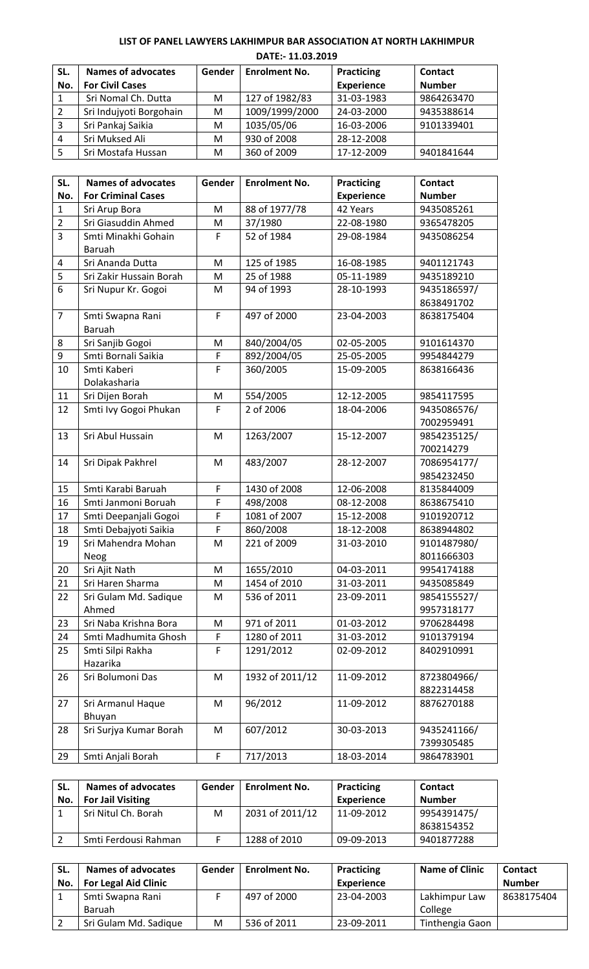**LIST OF PANEL LAWYERS LAKHIMPUR BAR ASSOCIATION AT NORTH LAKHIMPUR DATE:- 11.03.2019**

| SL.        | <b>Names of advocates</b> | Gender | <b>Enrolment No.</b> | Practicing        | Contact       |
|------------|---------------------------|--------|----------------------|-------------------|---------------|
| No.        | <b>For Civil Cases</b>    |        |                      | <b>Experience</b> | <b>Number</b> |
| -1         | Sri Nomal Ch. Dutta       | М      | 127 of 1982/83       | 31-03-1983        | 9864263470    |
| $\sqrt{2}$ | Sri Indujyoti Borgohain   | М      | 1009/1999/2000       | 24-03-2000        | 9435388614    |
| 3          | Sri Pankaj Saikia         | М      | 1035/05/06           | 16-03-2006        | 9101339401    |
| 4          | Sri Muksed Ali            | м      | 930 of 2008          | 28-12-2008        |               |
| 5          | Sri Mostafa Hussan        | М      | 360 of 2009          | 17-12-2009        | 9401841644    |

| SL.            | <b>Names of advocates</b> | Gender | <b>Enrolment No.</b> | <b>Practicing</b> | <b>Contact</b> |
|----------------|---------------------------|--------|----------------------|-------------------|----------------|
| No.            | <b>For Criminal Cases</b> |        |                      | <b>Experience</b> | <b>Number</b>  |
| $\mathbf{1}$   | Sri Arup Bora             | M      | 88 of 1977/78        | 42 Years          | 9435085261     |
| $\overline{2}$ | Sri Giasuddin Ahmed       | M      | 37/1980              | 22-08-1980        | 9365478205     |
| $\overline{3}$ | Smti Minakhi Gohain       | F      | 52 of 1984           | 29-08-1984        | 9435086254     |
|                | Baruah                    |        |                      |                   |                |
| 4              | Sri Ananda Dutta          | M      | 125 of 1985          | 16-08-1985        | 9401121743     |
| 5              | Sri Zakir Hussain Borah   | M      | 25 of 1988           | 05-11-1989        | 9435189210     |
| 6              | Sri Nupur Kr. Gogoi       | M      | 94 of 1993           | 28-10-1993        | 9435186597/    |
|                |                           |        |                      |                   | 8638491702     |
| $\overline{7}$ | Smti Swapna Rani          | F      | 497 of 2000          | 23-04-2003        | 8638175404     |
|                | Baruah                    |        |                      |                   |                |
| 8              | Sri Sanjib Gogoi          | M      | 840/2004/05          | 02-05-2005        | 9101614370     |
| 9              | Smti Bornali Saikia       | F      | 892/2004/05          | 25-05-2005        | 9954844279     |
| 10             | Smti Kaberi               | F      | 360/2005             | 15-09-2005        | 8638166436     |
|                | Dolakasharia              |        |                      |                   |                |
| 11             | Sri Dijen Borah           | M      | 554/2005             | 12-12-2005        | 9854117595     |
| 12             | Smti Ivy Gogoi Phukan     | F      | 2 of 2006            | 18-04-2006        | 9435086576/    |
|                |                           |        |                      |                   | 7002959491     |
| 13             | Sri Abul Hussain          | M      | 1263/2007            | 15-12-2007        | 9854235125/    |
|                |                           |        |                      |                   | 700214279      |
| 14             | Sri Dipak Pakhrel         | M      | 483/2007             | 28-12-2007        | 7086954177/    |
|                |                           |        |                      |                   | 9854232450     |
| 15             | Smti Karabi Baruah        | F      | 1430 of 2008         | 12-06-2008        | 8135844009     |
| 16             | Smti Janmoni Boruah       | F      | 498/2008             | 08-12-2008        | 8638675410     |
| 17             | Smti Deepanjali Gogoi     | F      | 1081 of 2007         | 15-12-2008        | 9101920712     |
| 18             | Smti Debajyoti Saikia     | F      | 860/2008             | 18-12-2008        | 8638944802     |
| 19             | Sri Mahendra Mohan        | M      | 221 of 2009          | 31-03-2010        | 9101487980/    |
|                | Neog                      |        |                      |                   | 8011666303     |
| 20             | Sri Ajit Nath             | M      | 1655/2010            | 04-03-2011        | 9954174188     |
| 21             | Sri Haren Sharma          | M      | 1454 of 2010         | 31-03-2011        | 9435085849     |
| 22             | Sri Gulam Md. Sadique     | M      | 536 of 2011          | 23-09-2011        | 9854155527/    |
|                | Ahmed                     |        |                      |                   | 9957318177     |
| 23             | Sri Naba Krishna Bora     | M      | 971 of 2011          | 01-03-2012        | 9706284498     |
| 24             | Smti Madhumita Ghosh      | F      | 1280 of 2011         | 31-03-2012        | 9101379194     |
| 25             | Smti Silpi Rakha          | F      | 1291/2012            | 02-09-2012        | 8402910991     |
|                | Hazarika                  |        |                      |                   |                |
| 26             | Sri Bolumoni Das          | M      | 1932 of 2011/12      | 11-09-2012        | 8723804966/    |
|                |                           |        |                      |                   | 8822314458     |
| 27             | Sri Armanul Haque         | M      | 96/2012              | 11-09-2012        | 8876270188     |
|                | Bhuyan                    |        |                      |                   |                |
| 28             | Sri Surjya Kumar Borah    | M      | 607/2012             | 30-03-2013        | 9435241166/    |
|                |                           |        |                      |                   | 7399305485     |
| 29             | Smti Anjali Borah         | F      | 717/2013             | 18-03-2014        | 9864783901     |

| SL. | <b>Names of advocates</b> | Gender | <b>Enrolment No.</b> | Practicing        | <b>Contact</b> |
|-----|---------------------------|--------|----------------------|-------------------|----------------|
| No. | <b>For Jail Visiting</b>  |        |                      | <b>Experience</b> | <b>Number</b>  |
|     | Sri Nitul Ch. Borah       | М      | 2031 of 2011/12      | 11-09-2012        | 9954391475/    |
|     |                           |        |                      |                   | 8638154352     |
|     | Smti Ferdousi Rahman      |        | 1288 of 2010         | 09-09-2013        | 9401877288     |

| SL. | <b>Names of advocates</b>   | Gender | <b>Enrolment No.</b> | Practicing        | <b>Name of Clinic</b> | <b>Contact</b> |
|-----|-----------------------------|--------|----------------------|-------------------|-----------------------|----------------|
| No. | <b>For Legal Aid Clinic</b> |        |                      | <b>Experience</b> |                       | <b>Number</b>  |
|     | Smti Swapna Rani            |        | 497 of 2000          | 23-04-2003        | Lakhimpur Law         | 8638175404     |
|     | <b>Baruah</b>               |        |                      |                   | College               |                |
|     | Sri Gulam Md. Sadique       | M      | 536 of 2011          | 23-09-2011        | Tinthengia Gaon       |                |